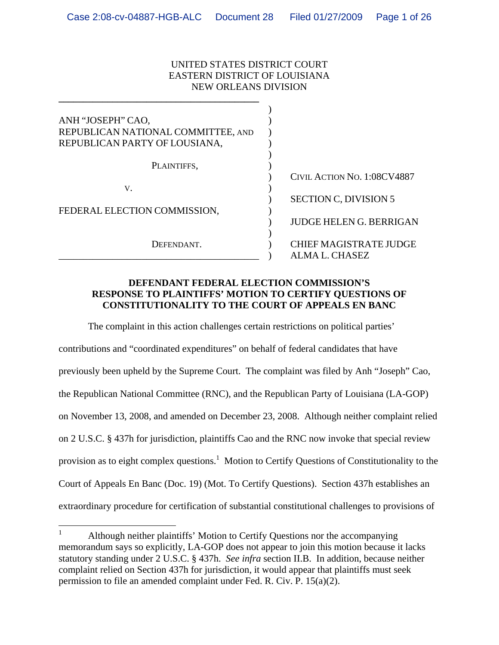#### UNITED STATES DISTRICT COURT EASTERN DISTRICT OF LOUISIANA NEW ORLEANS DIVISION

**\_\_\_\_\_\_\_\_\_\_\_\_\_\_\_\_\_\_\_\_\_\_\_\_\_\_\_\_\_\_\_\_\_\_\_\_\_\_\_\_\_**

| CIVIL ACTION NO. 1:08CV4887    |
|--------------------------------|
|                                |
| <b>JUDGE HELEN G. BERRIGAN</b> |
| <b>CHIEF MAGISTRATE JUDGE</b>  |
|                                |

#### **DEFENDANT FEDERAL ELECTION COMMISSION'S RESPONSE TO PLAINTIFFS' MOTION TO CERTIFY QUESTIONS OF CONSTITUTIONALITY TO THE COURT OF APPEALS EN BANC**

The complaint in this action challenges certain restrictions on political parties' contributions and "coordinated expenditures" on behalf of federal candidates that have previously been upheld by the Supreme Court. The complaint was filed by Anh "Joseph" Cao, the Republican National Committee (RNC), and the Republican Party of Louisiana (LA-GOP) on November 13, 2008, and amended on December 23, 2008. Although neither complaint relied on 2 U.S.C. § 437h for jurisdiction, plaintiffs Cao and the RNC now invoke that special review provision as to eight complex questions.<sup>1</sup> Motion to Certify Questions of Constitutionality to the Court of Appeals En Banc (Doc. 19) (Mot. To Certify Questions). Section 437h establishes an extraordinary procedure for certification of substantial constitutional challenges to provisions of

 $\frac{1}{1}$  Although neither plaintiffs' Motion to Certify Questions nor the accompanying memorandum says so explicitly, LA-GOP does not appear to join this motion because it lacks statutory standing under 2 U.S.C. § 437h. *See infra* section II.B. In addition, because neither complaint relied on Section 437h for jurisdiction, it would appear that plaintiffs must seek permission to file an amended complaint under Fed. R. Civ. P. 15(a)(2).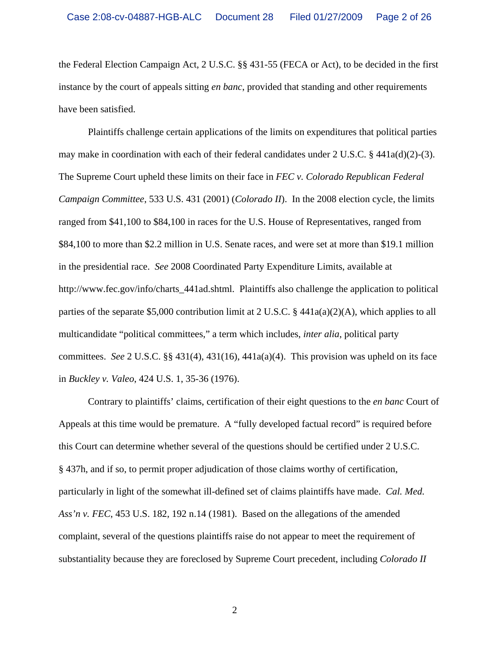the Federal Election Campaign Act, 2 U.S.C. §§ 431-55 (FECA or Act), to be decided in the first instance by the court of appeals sitting *en banc*, provided that standing and other requirements have been satisfied.

Plaintiffs challenge certain applications of the limits on expenditures that political parties may make in coordination with each of their federal candidates under 2 U.S.C.  $\S$  441a(d)(2)-(3). The Supreme Court upheld these limits on their face in *FEC v. Colorado Republican Federal Campaign Committee*, 533 U.S. 431 (2001) (*Colorado II*). In the 2008 election cycle, the limits ranged from \$41,100 to \$84,100 in races for the U.S. House of Representatives, ranged from \$84,100 to more than \$2.2 million in U.S. Senate races, and were set at more than \$19.1 million in the presidential race. *See* 2008 Coordinated Party Expenditure Limits, available at http://www.fec.gov/info/charts\_441ad.shtml. Plaintiffs also challenge the application to political parties of the separate \$5,000 contribution limit at 2 U.S.C. § 441a(a)(2)(A), which applies to all multicandidate "political committees," a term which includes, *inter alia*, political party committees. *See* 2 U.S.C. §§ 431(4), 431(16), 441a(a)(4). This provision was upheld on its face in *Buckley v. Valeo*, 424 U.S. 1, 35-36 (1976).

Contrary to plaintiffs' claims, certification of their eight questions to the *en banc* Court of Appeals at this time would be premature. A "fully developed factual record" is required before this Court can determine whether several of the questions should be certified under 2 U.S.C. § 437h, and if so, to permit proper adjudication of those claims worthy of certification, particularly in light of the somewhat ill-defined set of claims plaintiffs have made. *Cal. Med. Ass'n v. FEC*, 453 U.S. 182, 192 n.14 (1981). Based on the allegations of the amended complaint, several of the questions plaintiffs raise do not appear to meet the requirement of substantiality because they are foreclosed by Supreme Court precedent, including *Colorado II*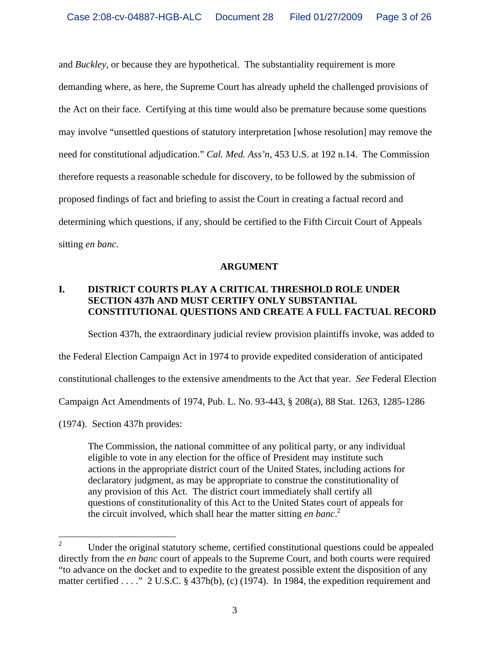and *Buckley*, or because they are hypothetical. The substantiality requirement is more demanding where, as here, the Supreme Court has already upheld the challenged provisions of the Act on their face. Certifying at this time would also be premature because some questions may involve "unsettled questions of statutory interpretation [whose resolution] may remove the need for constitutional adjudication." *Cal. Med. Ass'n*, 453 U.S. at 192 n.14. The Commission therefore requests a reasonable schedule for discovery, to be followed by the submission of proposed findings of fact and briefing to assist the Court in creating a factual record and determining which questions, if any, should be certified to the Fifth Circuit Court of Appeals sitting *en banc*.

#### **ARGUMENT**

# **I. DISTRICT COURTS PLAY A CRITICAL THRESHOLD ROLE UNDER SECTION 437h AND MUST CERTIFY ONLY SUBSTANTIAL CONSTITUTIONAL QUESTIONS AND CREATE A FULL FACTUAL RECORD**

Section 437h, the extraordinary judicial review provision plaintiffs invoke, was added to the Federal Election Campaign Act in 1974 to provide expedited consideration of anticipated constitutional challenges to the extensive amendments to the Act that year. *See* Federal Election Campaign Act Amendments of 1974, Pub. L. No. 93-443, § 208(a), 88 Stat. 1263, 1285-1286 (1974). Section 437h provides:

The Commission, the national committee of any political party, or any individual eligible to vote in any election for the office of President may institute such actions in the appropriate district court of the United States, including actions for declaratory judgment, as may be appropriate to construe the constitutionality of any provision of this Act. The district court immediately shall certify all questions of constitutionality of this Act to the United States court of appeals for the circuit involved, which shall hear the matter sitting *en banc*. 2

 $\frac{1}{2}$  Under the original statutory scheme, certified constitutional questions could be appealed directly from the *en banc* court of appeals to the Supreme Court, and both courts were required "to advance on the docket and to expedite to the greatest possible extent the disposition of any matter certified . . . ." 2 U.S.C. § 437h(b), (c) (1974). In 1984, the expedition requirement and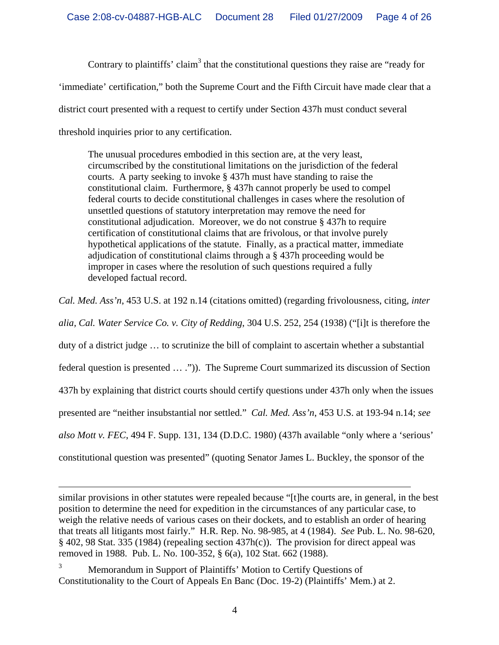Contrary to plaintiffs' claim<sup>3</sup> that the constitutional questions they raise are "ready for 'immediate' certification," both the Supreme Court and the Fifth Circuit have made clear that a district court presented with a request to certify under Section 437h must conduct several threshold inquiries prior to any certification.

The unusual procedures embodied in this section are, at the very least, circumscribed by the constitutional limitations on the jurisdiction of the federal courts. A party seeking to invoke § 437h must have standing to raise the constitutional claim. Furthermore, § 437h cannot properly be used to compel federal courts to decide constitutional challenges in cases where the resolution of unsettled questions of statutory interpretation may remove the need for constitutional adjudication. Moreover, we do not construe § 437h to require certification of constitutional claims that are frivolous, or that involve purely hypothetical applications of the statute. Finally, as a practical matter, immediate adjudication of constitutional claims through a § 437h proceeding would be improper in cases where the resolution of such questions required a fully developed factual record.

*Cal. Med. Ass'n*, 453 U.S. at 192 n.14 (citations omitted) (regarding frivolousness, citing*, inter alia, Cal. Water Service Co. v. City of Redding*, 304 U.S. 252, 254 (1938) ("[i]t is therefore the duty of a district judge … to scrutinize the bill of complaint to ascertain whether a substantial federal question is presented … .")). The Supreme Court summarized its discussion of Section 437h by explaining that district courts should certify questions under 437h only when the issues presented are "neither insubstantial nor settled." *Cal. Med. Ass'n*, 453 U.S. at 193-94 n.14; *see also Mott v. FEC*, 494 F. Supp. 131, 134 (D.D.C. 1980) (437h available "only where a 'serious' constitutional question was presented" (quoting Senator James L. Buckley, the sponsor of the

similar provisions in other statutes were repealed because "[t]he courts are, in general, in the best position to determine the need for expedition in the circumstances of any particular case, to weigh the relative needs of various cases on their dockets, and to establish an order of hearing that treats all litigants most fairly." H.R. Rep. No. 98-985, at 4 (1984). *See* Pub. L. No. 98-620, § 402, 98 Stat. 335 (1984) (repealing section 437h(c)). The provision for direct appeal was removed in 1988. Pub. L. No. 100-352, § 6(a), 102 Stat. 662 (1988).

3 Memorandum in Support of Plaintiffs' Motion to Certify Questions of Constitutionality to the Court of Appeals En Banc (Doc. 19-2) (Plaintiffs' Mem.) at 2.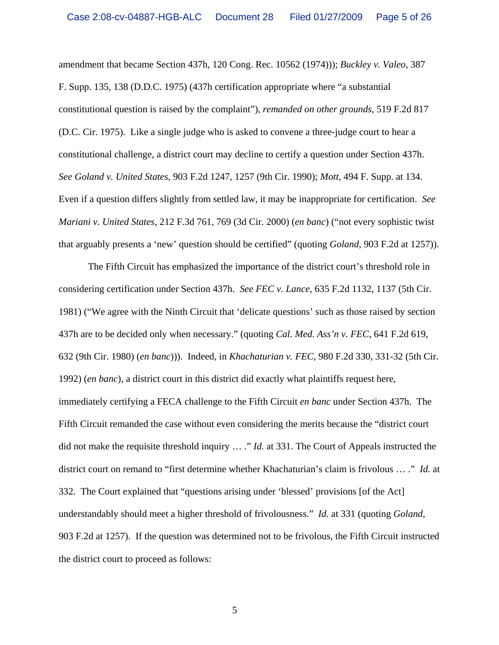amendment that became Section 437h, 120 Cong. Rec. 10562 (1974))); *Buckley v. Valeo*, 387 F. Supp. 135, 138 (D.D.C. 1975) (437h certification appropriate where "a substantial constitutional question is raised by the complaint"), *remanded on other grounds*, 519 F.2d 817 (D.C. Cir. 1975). Like a single judge who is asked to convene a three-judge court to hear a constitutional challenge, a district court may decline to certify a question under Section 437h. *See Goland v. United States*, 903 F.2d 1247, 1257 (9th Cir. 1990); *Mott,* 494 F. Supp. at 134. Even if a question differs slightly from settled law, it may be inappropriate for certification. *See Mariani v. United States*, 212 F.3d 761, 769 (3d Cir. 2000) (*en banc*) ("not every sophistic twist that arguably presents a 'new' question should be certified" (quoting *Goland*, 903 F.2d at 1257)).

The Fifth Circuit has emphasized the importance of the district court's threshold role in considering certification under Section 437h. *See FEC v. Lance*, 635 F.2d 1132, 1137 (5th Cir. 1981) ("We agree with the Ninth Circuit that 'delicate questions' such as those raised by section 437h are to be decided only when necessary." (quoting *Cal. Med. Ass'n v. FEC*, 641 F.2d 619, 632 (9th Cir. 1980) (*en banc*))). Indeed, in *Khachaturian v. FEC*, 980 F.2d 330, 331-32 (5th Cir. 1992) (*en banc*), a district court in this district did exactly what plaintiffs request here, immediately certifying a FECA challenge to the Fifth Circuit *en banc* under Section 437h. The Fifth Circuit remanded the case without even considering the merits because the "district court did not make the requisite threshold inquiry … ." *Id.* at 331. The Court of Appeals instructed the district court on remand to "first determine whether Khachaturian's claim is frivolous … ." *Id.* at 332. The Court explained that "questions arising under 'blessed' provisions [of the Act] understandably should meet a higher threshold of frivolousness." *Id.* at 331 (quoting *Goland*, 903 F.2d at 1257). If the question was determined not to be frivolous, the Fifth Circuit instructed the district court to proceed as follows: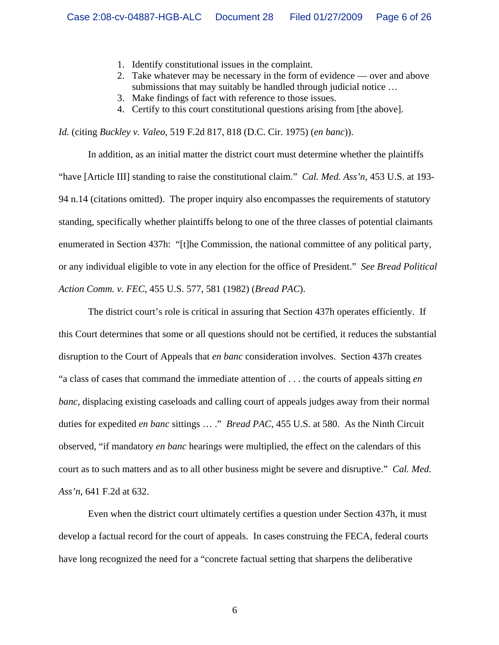- 1. Identify constitutional issues in the complaint.
- 2. Take whatever may be necessary in the form of evidence over and above submissions that may suitably be handled through judicial notice …
- 3. Make findings of fact with reference to those issues.
- 4. Certify to this court constitutional questions arising from [the above].

*Id.* (citing *Buckley v. Valeo*, 519 F.2d 817, 818 (D.C. Cir. 1975) (*en banc*)).

In addition, as an initial matter the district court must determine whether the plaintiffs "have [Article III] standing to raise the constitutional claim." *Cal. Med. Ass'n*, 453 U.S. at 193- 94 n.14 (citations omitted). The proper inquiry also encompasses the requirements of statutory standing, specifically whether plaintiffs belong to one of the three classes of potential claimants enumerated in Section 437h: "[t]he Commission, the national committee of any political party, or any individual eligible to vote in any election for the office of President." *See Bread Political Action Comm. v. FEC*, 455 U.S. 577, 581 (1982) (*Bread PAC*).

The district court's role is critical in assuring that Section 437h operates efficiently. If this Court determines that some or all questions should not be certified, it reduces the substantial disruption to the Court of Appeals that *en banc* consideration involves. Section 437h creates "a class of cases that command the immediate attention of . . . the courts of appeals sitting *en banc*, displacing existing caseloads and calling court of appeals judges away from their normal duties for expedited *en banc* sittings … ." *Bread PAC*, 455 U.S. at 580. As the Ninth Circuit observed, "if mandatory *en banc* hearings were multiplied, the effect on the calendars of this court as to such matters and as to all other business might be severe and disruptive." *Cal. Med. Ass'n*, 641 F.2d at 632.

Even when the district court ultimately certifies a question under Section 437h, it must develop a factual record for the court of appeals. In cases construing the FECA, federal courts have long recognized the need for a "concrete factual setting that sharpens the deliberative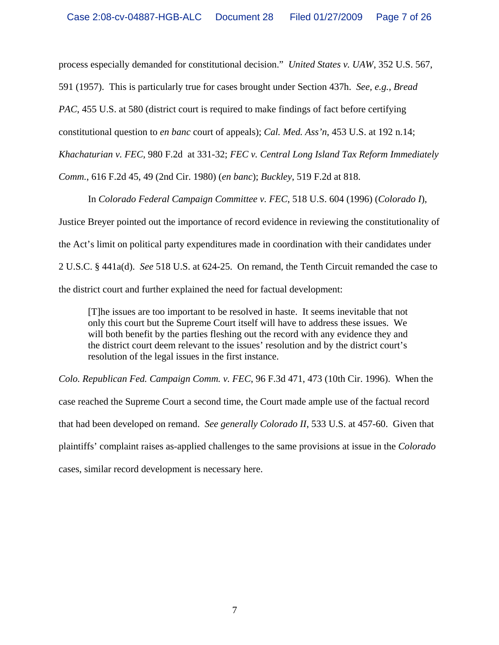process especially demanded for constitutional decision." *United States v. UAW*, 352 U.S. 567,

591 (1957). This is particularly true for cases brought under Section 437h. *See, e.g., Bread* 

*PAC*, 455 U.S. at 580 (district court is required to make findings of fact before certifying

constitutional question to *en banc* court of appeals); *Cal. Med. Ass'n*, 453 U.S. at 192 n.14;

*Khachaturian v. FEC*, 980 F.2d at 331-32; *FEC v. Central Long Island Tax Reform Immediately* 

*Comm.*, 616 F.2d 45, 49 (2nd Cir. 1980) (*en banc*); *Buckley*, 519 F.2d at 818.

In *Colorado Federal Campaign Committee v. FEC*, 518 U.S. 604 (1996) (*Colorado I*), Justice Breyer pointed out the importance of record evidence in reviewing the constitutionality of the Act's limit on political party expenditures made in coordination with their candidates under 2 U.S.C. § 441a(d). *See* 518 U.S. at 624-25. On remand, the Tenth Circuit remanded the case to the district court and further explained the need for factual development:

[T]he issues are too important to be resolved in haste. It seems inevitable that not only this court but the Supreme Court itself will have to address these issues. We will both benefit by the parties fleshing out the record with any evidence they and the district court deem relevant to the issues' resolution and by the district court's resolution of the legal issues in the first instance.

*Colo. Republican Fed. Campaign Comm. v. FEC*, 96 F.3d 471, 473 (10th Cir. 1996). When the case reached the Supreme Court a second time, the Court made ample use of the factual record that had been developed on remand. *See generally Colorado II*, 533 U.S. at 457-60. Given that plaintiffs' complaint raises as-applied challenges to the same provisions at issue in the *Colorado* cases, similar record development is necessary here.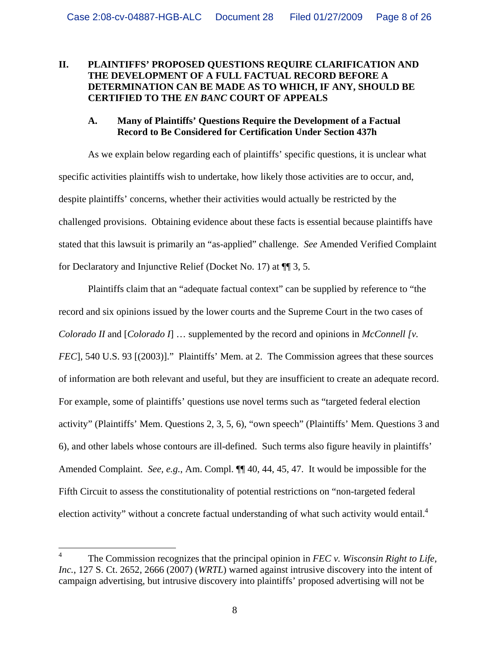# **II. PLAINTIFFS' PROPOSED QUESTIONS REQUIRE CLARIFICATION AND THE DEVELOPMENT OF A FULL FACTUAL RECORD BEFORE A DETERMINATION CAN BE MADE AS TO WHICH, IF ANY, SHOULD BE CERTIFIED TO THE** *EN BANC* **COURT OF APPEALS**

### **A. Many of Plaintiffs' Questions Require the Development of a Factual Record to Be Considered for Certification Under Section 437h**

As we explain below regarding each of plaintiffs' specific questions, it is unclear what specific activities plaintiffs wish to undertake, how likely those activities are to occur, and, despite plaintiffs' concerns, whether their activities would actually be restricted by the challenged provisions. Obtaining evidence about these facts is essential because plaintiffs have stated that this lawsuit is primarily an "as-applied" challenge. *See* Amended Verified Complaint for Declaratory and Injunctive Relief (Docket No. 17) at ¶¶ 3, 5.

Plaintiffs claim that an "adequate factual context" can be supplied by reference to "the record and six opinions issued by the lower courts and the Supreme Court in the two cases of *Colorado II* and [*Colorado I*] … supplemented by the record and opinions in *McConnell [v. FEC*], 540 U.S. 93 [(2003)]." Plaintiffs' Mem. at 2. The Commission agrees that these sources of information are both relevant and useful, but they are insufficient to create an adequate record. For example, some of plaintiffs' questions use novel terms such as "targeted federal election activity" (Plaintiffs' Mem. Questions 2, 3, 5, 6), "own speech" (Plaintiffs' Mem. Questions 3 and 6), and other labels whose contours are ill-defined. Such terms also figure heavily in plaintiffs' Amended Complaint. *See, e.g.*, Am. Compl. ¶¶ 40, 44, 45, 47. It would be impossible for the Fifth Circuit to assess the constitutionality of potential restrictions on "non-targeted federal election activity" without a concrete factual understanding of what such activity would entail.<sup>4</sup>

<sup>4</sup> The Commission recognizes that the principal opinion in *FEC v. Wisconsin Right to Life, Inc.*, 127 S. Ct. 2652, 2666 (2007) (*WRTL*) warned against intrusive discovery into the intent of campaign advertising, but intrusive discovery into plaintiffs' proposed advertising will not be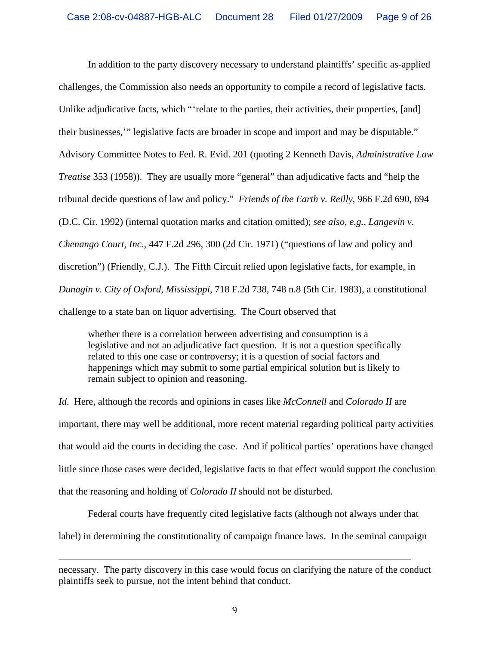In addition to the party discovery necessary to understand plaintiffs' specific as-applied challenges, the Commission also needs an opportunity to compile a record of legislative facts. Unlike adjudicative facts, which "'relate to the parties, their activities, their properties, [and] their businesses,'" legislative facts are broader in scope and import and may be disputable." Advisory Committee Notes to Fed. R. Evid. 201 (quoting 2 Kenneth Davis, *Administrative Law Treatise* 353 (1958)). They are usually more "general" than adjudicative facts and "help the tribunal decide questions of law and policy." *Friends of the Earth v. Reilly,* 966 F.2d 690, 694 (D.C. Cir. 1992) (internal quotation marks and citation omitted); *see also, e.g., Langevin v. Chenango Court, Inc.,* 447 F.2d 296, 300 (2d Cir. 1971) ("questions of law and policy and discretion") (Friendly, C.J.). The Fifth Circuit relied upon legislative facts, for example, in *Dunagin v. City of Oxford, Mississippi,* 718 F.2d 738, 748 n.8 (5th Cir. 1983), a constitutional challenge to a state ban on liquor advertising. The Court observed that

whether there is a correlation between advertising and consumption is a legislative and not an adjudicative fact question. It is not a question specifically related to this one case or controversy; it is a question of social factors and happenings which may submit to some partial empirical solution but is likely to remain subject to opinion and reasoning.

*Id.* Here, although the records and opinions in cases like *McConnell* and *Colorado II* are important, there may well be additional, more recent material regarding political party activities that would aid the courts in deciding the case. And if political parties' operations have changed little since those cases were decided, legislative facts to that effect would support the conclusion that the reasoning and holding of *Colorado II* should not be disturbed.

Federal courts have frequently cited legislative facts (although not always under that label) in determining the constitutionality of campaign finance laws. In the seminal campaign

 $\overline{a}$ 

necessary. The party discovery in this case would focus on clarifying the nature of the conduct plaintiffs seek to pursue, not the intent behind that conduct.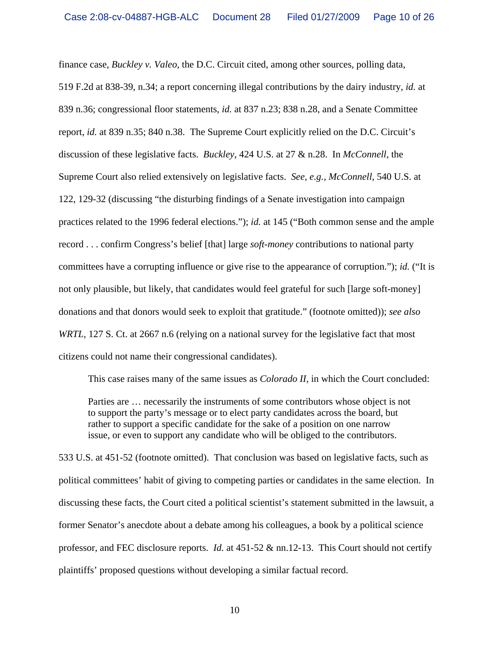finance case, *Buckley v. Valeo*, the D.C. Circuit cited, among other sources, polling data, 519 F.2d at 838-39, n.34; a report concerning illegal contributions by the dairy industry, *id.* at 839 n.36; congressional floor statements, *id.* at 837 n.23; 838 n.28, and a Senate Committee report, *id.* at 839 n.35; 840 n.38. The Supreme Court explicitly relied on the D.C. Circuit's discussion of these legislative facts. *Buckley*, 424 U.S. at 27 & n.28. In *McConnell*, the Supreme Court also relied extensively on legislative facts. *See, e.g., McConnell*, 540 U.S. at 122, 129-32 (discussing "the disturbing findings of a Senate investigation into campaign practices related to the 1996 federal elections."); *id.* at 145 ("Both common sense and the ample record . . . confirm Congress's belief [that] large *soft-money* contributions to national party committees have a corrupting influence or give rise to the appearance of corruption."); *id.* ("It is not only plausible, but likely, that candidates would feel grateful for such [large soft-money] donations and that donors would seek to exploit that gratitude." (footnote omitted)); *see also WRTL*, 127 S. Ct. at 2667 n.6 (relying on a national survey for the legislative fact that most citizens could not name their congressional candidates).

This case raises many of the same issues as *Colorado II*, in which the Court concluded:

Parties are … necessarily the instruments of some contributors whose object is not to support the party's message or to elect party candidates across the board, but rather to support a specific candidate for the sake of a position on one narrow issue, or even to support any candidate who will be obliged to the contributors.

533 U.S. at 451-52 (footnote omitted). That conclusion was based on legislative facts, such as political committees' habit of giving to competing parties or candidates in the same election. In discussing these facts, the Court cited a political scientist's statement submitted in the lawsuit, a former Senator's anecdote about a debate among his colleagues, a book by a political science professor, and FEC disclosure reports. *Id.* at 451-52 & nn.12-13. This Court should not certify plaintiffs' proposed questions without developing a similar factual record.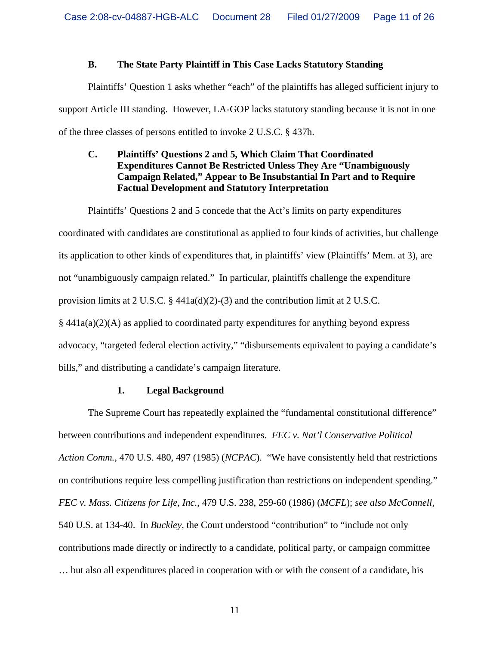#### **B. The State Party Plaintiff in This Case Lacks Statutory Standing**

 Plaintiffs' Question 1 asks whether "each" of the plaintiffs has alleged sufficient injury to support Article III standing. However, LA-GOP lacks statutory standing because it is not in one of the three classes of persons entitled to invoke 2 U.S.C. § 437h.

# **C. Plaintiffs' Questions 2 and 5, Which Claim That Coordinated Expenditures Cannot Be Restricted Unless They Are "Unambiguously Campaign Related," Appear to Be Insubstantial In Part and to Require Factual Development and Statutory Interpretation**

 Plaintiffs' Questions 2 and 5 concede that the Act's limits on party expenditures coordinated with candidates are constitutional as applied to four kinds of activities, but challenge its application to other kinds of expenditures that, in plaintiffs' view (Plaintiffs' Mem. at 3), are not "unambiguously campaign related." In particular, plaintiffs challenge the expenditure provision limits at 2 U.S.C.  $\S$  441a(d)(2)-(3) and the contribution limit at 2 U.S.C.  $§$  441a(a)(2)(A) as applied to coordinated party expenditures for anything beyond express advocacy, "targeted federal election activity," "disbursements equivalent to paying a candidate's bills," and distributing a candidate's campaign literature.

#### **1. Legal Background**

 The Supreme Court has repeatedly explained the "fundamental constitutional difference" between contributions and independent expenditures. *FEC v. Nat'l Conservative Political Action Comm.*, 470 U.S. 480, 497 (1985) (*NCPAC*). "We have consistently held that restrictions on contributions require less compelling justification than restrictions on independent spending." *FEC v. Mass. Citizens for Life, Inc.*, 479 U.S. 238, 259-60 (1986) (*MCFL*); *see also McConnell*, 540 U.S. at 134-40. In *Buckley*, the Court understood "contribution" to "include not only contributions made directly or indirectly to a candidate, political party, or campaign committee … but also all expenditures placed in cooperation with or with the consent of a candidate, his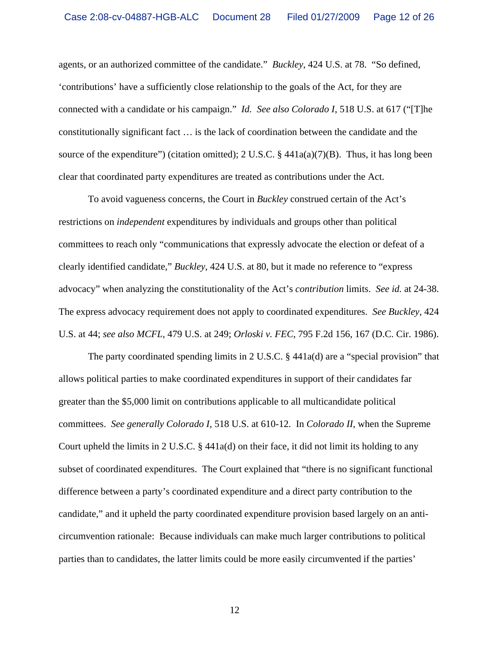agents, or an authorized committee of the candidate." *Buckley*, 424 U.S. at 78. "So defined, 'contributions' have a sufficiently close relationship to the goals of the Act, for they are connected with a candidate or his campaign." *Id. See also Colorado I*, 518 U.S. at 617 ("[T]he constitutionally significant fact … is the lack of coordination between the candidate and the source of the expenditure") (citation omitted); 2 U.S.C. § 441a(a)(7)(B). Thus, it has long been clear that coordinated party expenditures are treated as contributions under the Act.

 To avoid vagueness concerns, the Court in *Buckley* construed certain of the Act's restrictions on *independent* expenditures by individuals and groups other than political committees to reach only "communications that expressly advocate the election or defeat of a clearly identified candidate," *Buckley*, 424 U.S. at 80, but it made no reference to "express advocacy" when analyzing the constitutionality of the Act's *contribution* limits. *See id.* at 24-38. The express advocacy requirement does not apply to coordinated expenditures. *See Buckley*, 424 U.S. at 44; *see also MCFL*, 479 U.S. at 249; *Orloski v. FEC*, 795 F.2d 156, 167 (D.C. Cir. 1986).

 The party coordinated spending limits in 2 U.S.C. § 441a(d) are a "special provision" that allows political parties to make coordinated expenditures in support of their candidates far greater than the \$5,000 limit on contributions applicable to all multicandidate political committees. *See generally Colorado I*, 518 U.S. at 610-12. In *Colorado II*, when the Supreme Court upheld the limits in 2 U.S.C. § 441a(d) on their face, it did not limit its holding to any subset of coordinated expenditures. The Court explained that "there is no significant functional difference between a party's coordinated expenditure and a direct party contribution to the candidate," and it upheld the party coordinated expenditure provision based largely on an anticircumvention rationale: Because individuals can make much larger contributions to political parties than to candidates, the latter limits could be more easily circumvented if the parties'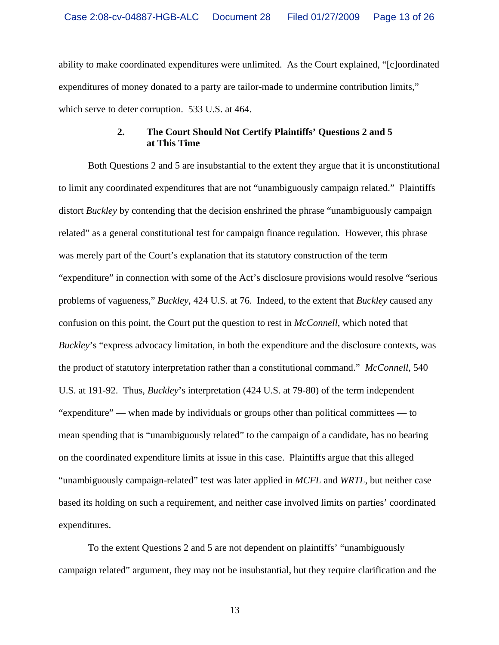ability to make coordinated expenditures were unlimited. As the Court explained, "[c]oordinated expenditures of money donated to a party are tailor-made to undermine contribution limits," which serve to deter corruption. 533 U.S. at 464.

### **2. The Court Should Not Certify Plaintiffs' Questions 2 and 5 at This Time**

Both Questions 2 and 5 are insubstantial to the extent they argue that it is unconstitutional to limit any coordinated expenditures that are not "unambiguously campaign related." Plaintiffs distort *Buckley* by contending that the decision enshrined the phrase "unambiguously campaign related" as a general constitutional test for campaign finance regulation. However, this phrase was merely part of the Court's explanation that its statutory construction of the term "expenditure" in connection with some of the Act's disclosure provisions would resolve "serious problems of vagueness," *Buckley*, 424 U.S. at 76. Indeed, to the extent that *Buckley* caused any confusion on this point, the Court put the question to rest in *McConnell*, which noted that *Buckley*'s "express advocacy limitation, in both the expenditure and the disclosure contexts, was the product of statutory interpretation rather than a constitutional command." *McConnell*, 540 U.S. at 191-92. Thus, *Buckley*'s interpretation (424 U.S. at 79-80) of the term independent "expenditure" — when made by individuals or groups other than political committees — to mean spending that is "unambiguously related" to the campaign of a candidate, has no bearing on the coordinated expenditure limits at issue in this case. Plaintiffs argue that this alleged "unambiguously campaign-related" test was later applied in *MCFL* and *WRTL*, but neither case based its holding on such a requirement, and neither case involved limits on parties' coordinated expenditures.

To the extent Questions 2 and 5 are not dependent on plaintiffs' "unambiguously campaign related" argument, they may not be insubstantial, but they require clarification and the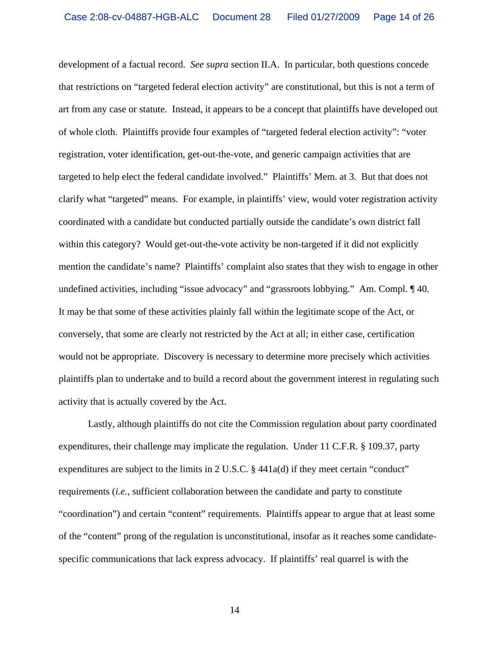development of a factual record. *See supra* section II.A. In particular, both questions concede that restrictions on "targeted federal election activity" are constitutional, but this is not a term of art from any case or statute. Instead, it appears to be a concept that plaintiffs have developed out of whole cloth. Plaintiffs provide four examples of "targeted federal election activity": "voter registration, voter identification, get-out-the-vote, and generic campaign activities that are targeted to help elect the federal candidate involved." Plaintiffs' Mem. at 3. But that does not clarify what "targeted" means. For example, in plaintiffs' view, would voter registration activity coordinated with a candidate but conducted partially outside the candidate's own district fall within this category? Would get-out-the-vote activity be non-targeted if it did not explicitly mention the candidate's name? Plaintiffs' complaint also states that they wish to engage in other undefined activities, including "issue advocacy" and "grassroots lobbying." Am. Compl. ¶ 40. It may be that some of these activities plainly fall within the legitimate scope of the Act, or conversely, that some are clearly not restricted by the Act at all; in either case, certification would not be appropriate. Discovery is necessary to determine more precisely which activities plaintiffs plan to undertake and to build a record about the government interest in regulating such activity that is actually covered by the Act.

Lastly, although plaintiffs do not cite the Commission regulation about party coordinated expenditures, their challenge may implicate the regulation. Under 11 C.F.R. § 109.37, party expenditures are subject to the limits in 2 U.S.C.  $\S$  441a(d) if they meet certain "conduct" requirements (*i.e.*, sufficient collaboration between the candidate and party to constitute "coordination") and certain "content" requirements. Plaintiffs appear to argue that at least some of the "content" prong of the regulation is unconstitutional, insofar as it reaches some candidatespecific communications that lack express advocacy. If plaintiffs' real quarrel is with the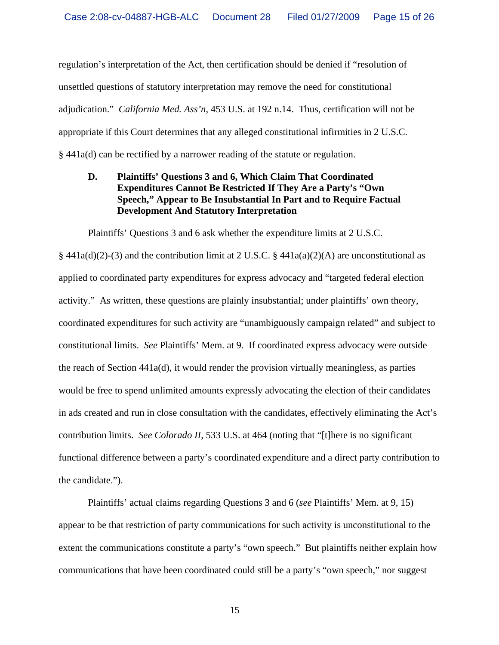regulation's interpretation of the Act, then certification should be denied if "resolution of unsettled questions of statutory interpretation may remove the need for constitutional adjudication." *California Med. Ass'n*, 453 U.S. at 192 n.14. Thus, certification will not be appropriate if this Court determines that any alleged constitutional infirmities in 2 U.S.C. § 441a(d) can be rectified by a narrower reading of the statute or regulation.

## **D. Plaintiffs' Questions 3 and 6, Which Claim That Coordinated Expenditures Cannot Be Restricted If They Are a Party's "Own Speech," Appear to Be Insubstantial In Part and to Require Factual Development And Statutory Interpretation**

Plaintiffs' Questions 3 and 6 ask whether the expenditure limits at 2 U.S.C.

§ 441a(d)(2)-(3) and the contribution limit at 2 U.S.C. § 441a(a)(2)(A) are unconstitutional as applied to coordinated party expenditures for express advocacy and "targeted federal election activity." As written, these questions are plainly insubstantial; under plaintiffs' own theory, coordinated expenditures for such activity are "unambiguously campaign related" and subject to constitutional limits. *See* Plaintiffs' Mem. at 9. If coordinated express advocacy were outside the reach of Section 441a(d), it would render the provision virtually meaningless, as parties would be free to spend unlimited amounts expressly advocating the election of their candidates in ads created and run in close consultation with the candidates, effectively eliminating the Act's contribution limits. *See Colorado II,* 533 U.S. at 464 (noting that "[t]here is no significant functional difference between a party's coordinated expenditure and a direct party contribution to the candidate.").

 Plaintiffs' actual claims regarding Questions 3 and 6 (*see* Plaintiffs' Mem. at 9, 15) appear to be that restriction of party communications for such activity is unconstitutional to the extent the communications constitute a party's "own speech." But plaintiffs neither explain how communications that have been coordinated could still be a party's "own speech," nor suggest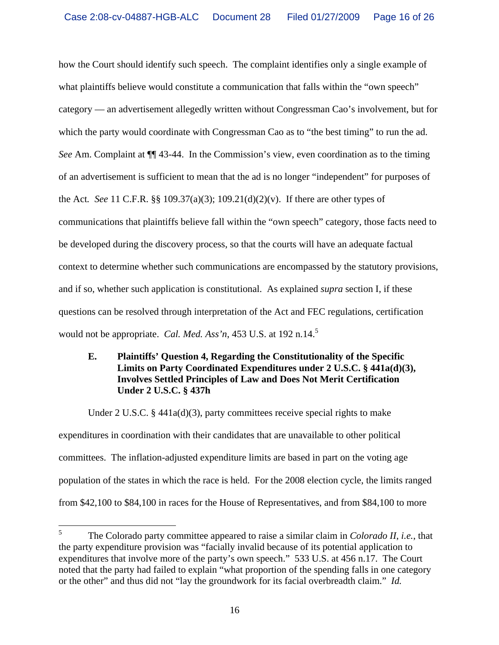how the Court should identify such speech. The complaint identifies only a single example of what plaintiffs believe would constitute a communication that falls within the "own speech" category — an advertisement allegedly written without Congressman Cao's involvement, but for which the party would coordinate with Congressman Cao as to "the best timing" to run the ad. *See* Am. Complaint at ¶¶ 43-44. In the Commission's view, even coordination as to the timing of an advertisement is sufficient to mean that the ad is no longer "independent" for purposes of the Act*. See* 11 C.F.R. §§ 109.37(a)(3); 109.21(d)(2)(v). If there are other types of communications that plaintiffs believe fall within the "own speech" category, those facts need to be developed during the discovery process, so that the courts will have an adequate factual context to determine whether such communications are encompassed by the statutory provisions, and if so, whether such application is constitutional. As explained *supra* section I, if these questions can be resolved through interpretation of the Act and FEC regulations, certification would not be appropriate. *Cal. Med. Ass'n*, 453 U.S. at 192 n.14.5

# **E. Plaintiffs' Question 4, Regarding the Constitutionality of the Specific Limits on Party Coordinated Expenditures under 2 U.S.C. § 441a(d)(3), Involves Settled Principles of Law and Does Not Merit Certification Under 2 U.S.C. § 437h**

Under 2 U.S.C. § 441a(d)(3), party committees receive special rights to make expenditures in coordination with their candidates that are unavailable to other political committees. The inflation-adjusted expenditure limits are based in part on the voting age population of the states in which the race is held. For the 2008 election cycle, the limits ranged from \$42,100 to \$84,100 in races for the House of Representatives, and from \$84,100 to more

 5 The Colorado party committee appeared to raise a similar claim in *Colorado II*, *i.e.*, that the party expenditure provision was "facially invalid because of its potential application to expenditures that involve more of the party's own speech." 533 U.S. at 456 n.17. The Court noted that the party had failed to explain "what proportion of the spending falls in one category or the other" and thus did not "lay the groundwork for its facial overbreadth claim." *Id.*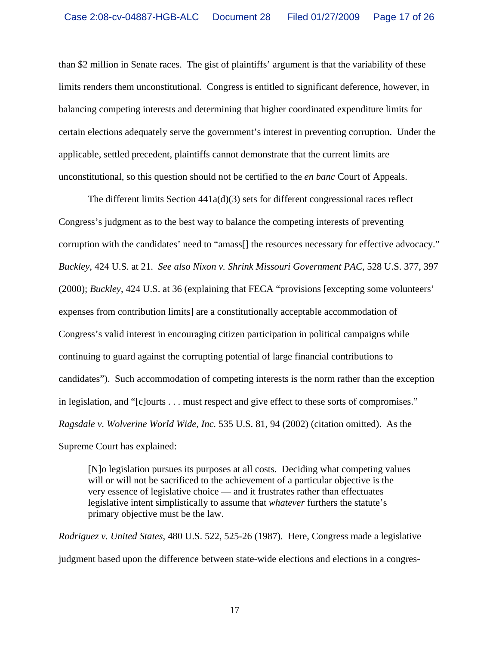than \$2 million in Senate races. The gist of plaintiffs' argument is that the variability of these limits renders them unconstitutional. Congress is entitled to significant deference, however, in balancing competing interests and determining that higher coordinated expenditure limits for certain elections adequately serve the government's interest in preventing corruption. Under the applicable, settled precedent, plaintiffs cannot demonstrate that the current limits are unconstitutional, so this question should not be certified to the *en banc* Court of Appeals.

The different limits Section 441a(d)(3) sets for different congressional races reflect Congress's judgment as to the best way to balance the competing interests of preventing corruption with the candidates' need to "amass[] the resources necessary for effective advocacy." *Buckley*, 424 U.S. at 21. *See also Nixon v. Shrink Missouri Government PAC*, 528 U.S. 377, 397 (2000); *Buckley*, 424 U.S. at 36 (explaining that FECA "provisions [excepting some volunteers' expenses from contribution limits] are a constitutionally acceptable accommodation of Congress's valid interest in encouraging citizen participation in political campaigns while continuing to guard against the corrupting potential of large financial contributions to candidates"). Such accommodation of competing interests is the norm rather than the exception in legislation, and "[c]ourts . . . must respect and give effect to these sorts of compromises." *Ragsdale v. Wolverine World Wide, Inc.* 535 U.S. 81, 94 (2002) (citation omitted). As the Supreme Court has explained:

[N]o legislation pursues its purposes at all costs. Deciding what competing values will or will not be sacrificed to the achievement of a particular objective is the very essence of legislative choice — and it frustrates rather than effectuates legislative intent simplistically to assume that *whatever* furthers the statute's primary objective must be the law.

*Rodriguez v. United States*, 480 U.S. 522, 525-26 (1987). Here, Congress made a legislative judgment based upon the difference between state-wide elections and elections in a congres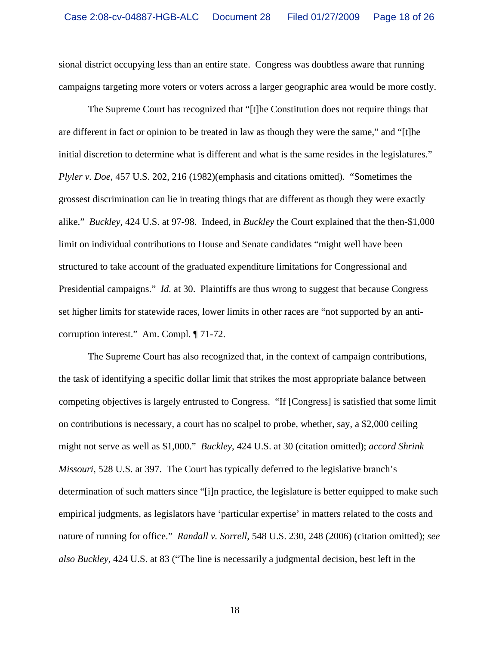sional district occupying less than an entire state. Congress was doubtless aware that running campaigns targeting more voters or voters across a larger geographic area would be more costly.

The Supreme Court has recognized that "[t]he Constitution does not require things that are different in fact or opinion to be treated in law as though they were the same," and "[t]he initial discretion to determine what is different and what is the same resides in the legislatures." *Plyler v. Doe*, 457 U.S. 202, 216 (1982)(emphasis and citations omitted). "Sometimes the grossest discrimination can lie in treating things that are different as though they were exactly alike." *Buckley*, 424 U.S. at 97-98. Indeed, in *Buckley* the Court explained that the then-\$1,000 limit on individual contributions to House and Senate candidates "might well have been structured to take account of the graduated expenditure limitations for Congressional and Presidential campaigns." *Id.* at 30. Plaintiffs are thus wrong to suggest that because Congress set higher limits for statewide races, lower limits in other races are "not supported by an anticorruption interest." Am. Compl. ¶ 71-72.

The Supreme Court has also recognized that, in the context of campaign contributions, the task of identifying a specific dollar limit that strikes the most appropriate balance between competing objectives is largely entrusted to Congress. "If [Congress] is satisfied that some limit on contributions is necessary, a court has no scalpel to probe, whether, say, a \$2,000 ceiling might not serve as well as \$1,000." *Buckley*, 424 U.S. at 30 (citation omitted); *accord Shrink Missouri*, 528 U.S. at 397. The Court has typically deferred to the legislative branch's determination of such matters since "[i]n practice, the legislature is better equipped to make such empirical judgments, as legislators have 'particular expertise' in matters related to the costs and nature of running for office." *Randall v. Sorrell*, 548 U.S. 230, 248 (2006) (citation omitted); *see also Buckley*, 424 U.S. at 83 ("The line is necessarily a judgmental decision, best left in the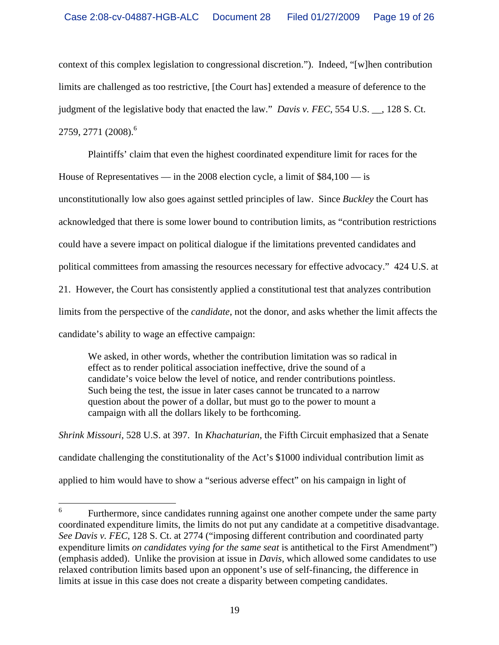context of this complex legislation to congressional discretion."). Indeed, "[w]hen contribution limits are challenged as too restrictive, [the Court has] extended a measure of deference to the judgment of the legislative body that enacted the law." *Davis v. FEC*, 554 U.S. \_\_, 128 S. Ct. 2759, 2771 (2008).<sup>6</sup>

Plaintiffs' claim that even the highest coordinated expenditure limit for races for the

House of Representatives — in the 2008 election cycle, a limit of \$84,100 — is

unconstitutionally low also goes against settled principles of law. Since *Buckley* the Court has

acknowledged that there is some lower bound to contribution limits, as "contribution restrictions

could have a severe impact on political dialogue if the limitations prevented candidates and

political committees from amassing the resources necessary for effective advocacy." 424 U.S. at

21. However, the Court has consistently applied a constitutional test that analyzes contribution

limits from the perspective of the *candidate*, not the donor, and asks whether the limit affects the

candidate's ability to wage an effective campaign:

We asked, in other words, whether the contribution limitation was so radical in effect as to render political association ineffective, drive the sound of a candidate's voice below the level of notice, and render contributions pointless. Such being the test, the issue in later cases cannot be truncated to a narrow question about the power of a dollar, but must go to the power to mount a campaign with all the dollars likely to be forthcoming.

*Shrink Missouri*, 528 U.S. at 397. In *Khachaturian*, the Fifth Circuit emphasized that a Senate candidate challenging the constitutionality of the Act's \$1000 individual contribution limit as applied to him would have to show a "serious adverse effect" on his campaign in light of

 6 Furthermore, since candidates running against one another compete under the same party coordinated expenditure limits, the limits do not put any candidate at a competitive disadvantage. *See Davis v. FEC*, 128 S. Ct. at 2774 ("imposing different contribution and coordinated party expenditure limits *on candidates vying for the same seat* is antithetical to the First Amendment") (emphasis added). Unlike the provision at issue in *Davis*, which allowed some candidates to use relaxed contribution limits based upon an opponent's use of self-financing, the difference in limits at issue in this case does not create a disparity between competing candidates.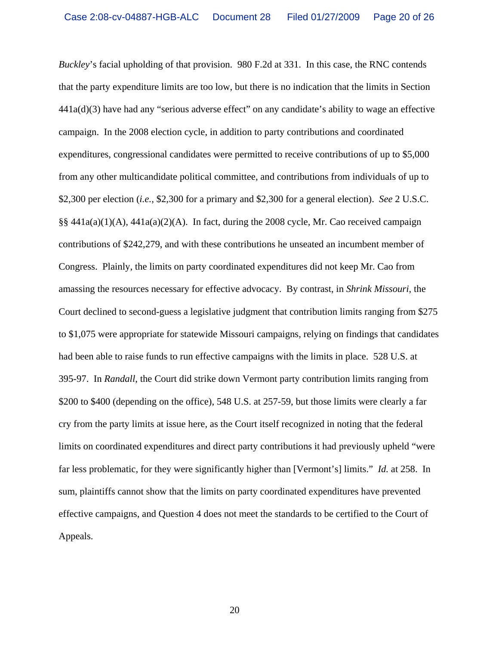*Buckley*'s facial upholding of that provision. 980 F.2d at 331. In this case, the RNC contends that the party expenditure limits are too low, but there is no indication that the limits in Section 441a(d)(3) have had any "serious adverse effect" on any candidate's ability to wage an effective campaign. In the 2008 election cycle, in addition to party contributions and coordinated expenditures, congressional candidates were permitted to receive contributions of up to \$5,000 from any other multicandidate political committee, and contributions from individuals of up to \$2,300 per election (*i.e.*, \$2,300 for a primary and \$2,300 for a general election). *See* 2 U.S.C. §§ 441a(a)(1)(A), 441a(a)(2)(A). In fact, during the 2008 cycle, Mr. Cao received campaign contributions of \$242,279, and with these contributions he unseated an incumbent member of Congress. Plainly, the limits on party coordinated expenditures did not keep Mr. Cao from amassing the resources necessary for effective advocacy. By contrast, in *Shrink Missouri*, the Court declined to second-guess a legislative judgment that contribution limits ranging from \$275 to \$1,075 were appropriate for statewide Missouri campaigns, relying on findings that candidates had been able to raise funds to run effective campaigns with the limits in place. 528 U.S. at 395-97. In *Randall*, the Court did strike down Vermont party contribution limits ranging from \$200 to \$400 (depending on the office), 548 U.S. at 257-59, but those limits were clearly a far cry from the party limits at issue here, as the Court itself recognized in noting that the federal limits on coordinated expenditures and direct party contributions it had previously upheld "were far less problematic, for they were significantly higher than [Vermont's] limits." *Id.* at 258. In sum, plaintiffs cannot show that the limits on party coordinated expenditures have prevented effective campaigns, and Question 4 does not meet the standards to be certified to the Court of Appeals.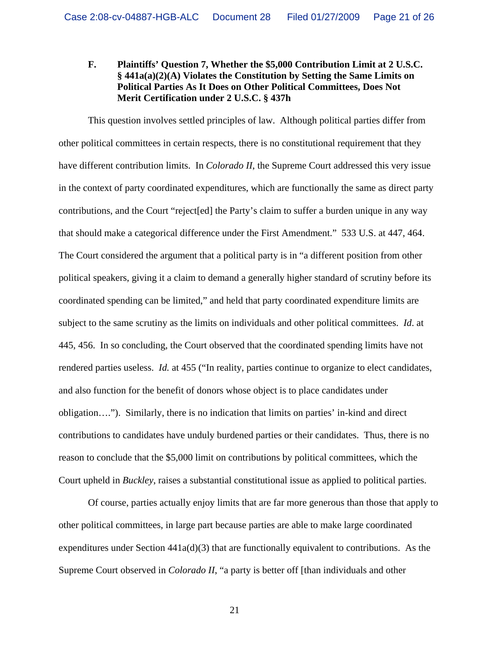## **F. Plaintiffs' Question 7, Whether the \$5,000 Contribution Limit at 2 U.S.C. § 441a(a)(2)(A) Violates the Constitution by Setting the Same Limits on Political Parties As It Does on Other Political Committees, Does Not Merit Certification under 2 U.S.C. § 437h**

This question involves settled principles of law. Although political parties differ from other political committees in certain respects, there is no constitutional requirement that they have different contribution limits. In *Colorado II*, the Supreme Court addressed this very issue in the context of party coordinated expenditures, which are functionally the same as direct party contributions, and the Court "reject[ed] the Party's claim to suffer a burden unique in any way that should make a categorical difference under the First Amendment." 533 U.S. at 447, 464. The Court considered the argument that a political party is in "a different position from other political speakers, giving it a claim to demand a generally higher standard of scrutiny before its coordinated spending can be limited," and held that party coordinated expenditure limits are subject to the same scrutiny as the limits on individuals and other political committees. *Id*. at 445, 456. In so concluding, the Court observed that the coordinated spending limits have not rendered parties useless. *Id.* at 455 ("In reality, parties continue to organize to elect candidates, and also function for the benefit of donors whose object is to place candidates under obligation…."). Similarly, there is no indication that limits on parties' in-kind and direct contributions to candidates have unduly burdened parties or their candidates. Thus, there is no reason to conclude that the \$5,000 limit on contributions by political committees, which the Court upheld in *Buckley*, raises a substantial constitutional issue as applied to political parties.

Of course, parties actually enjoy limits that are far more generous than those that apply to other political committees, in large part because parties are able to make large coordinated expenditures under Section  $441a(d)(3)$  that are functionally equivalent to contributions. As the Supreme Court observed in *Colorado II*, "a party is better off [than individuals and other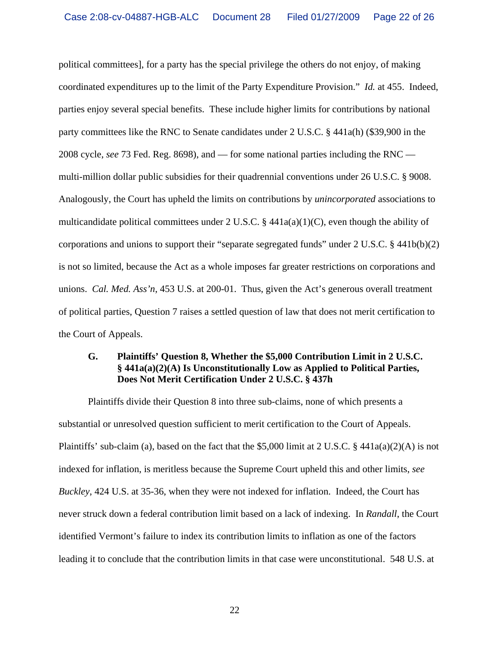political committees], for a party has the special privilege the others do not enjoy, of making coordinated expenditures up to the limit of the Party Expenditure Provision." *Id.* at 455. Indeed, parties enjoy several special benefits. These include higher limits for contributions by national party committees like the RNC to Senate candidates under 2 U.S.C. § 441a(h) (\$39,900 in the 2008 cycle, *see* 73 Fed. Reg. 8698), and — for some national parties including the RNC multi-million dollar public subsidies for their quadrennial conventions under 26 U.S.C. § 9008. Analogously, the Court has upheld the limits on contributions by *unincorporated* associations to multicandidate political committees under 2 U.S.C.  $\S$  441a(a)(1)(C), even though the ability of corporations and unions to support their "separate segregated funds" under 2 U.S.C. § 441b(b)(2) is not so limited, because the Act as a whole imposes far greater restrictions on corporations and unions. *Cal. Med. Ass'n*, 453 U.S. at 200-01. Thus, given the Act's generous overall treatment of political parties, Question 7 raises a settled question of law that does not merit certification to the Court of Appeals.

#### **G. Plaintiffs' Question 8, Whether the \$5,000 Contribution Limit in 2 U.S.C. § 441a(a)(2)(A) Is Unconstitutionally Low as Applied to Political Parties, Does Not Merit Certification Under 2 U.S.C. § 437h**

 Plaintiffs divide their Question 8 into three sub-claims, none of which presents a substantial or unresolved question sufficient to merit certification to the Court of Appeals. Plaintiffs' sub-claim (a), based on the fact that the \$5,000 limit at 2 U.S.C. § 441a(a)(2)(A) is not indexed for inflation, is meritless because the Supreme Court upheld this and other limits, *see Buckley*, 424 U.S. at 35-36, when they were not indexed for inflation. Indeed, the Court has never struck down a federal contribution limit based on a lack of indexing. In *Randall*, the Court identified Vermont's failure to index its contribution limits to inflation as one of the factors leading it to conclude that the contribution limits in that case were unconstitutional. 548 U.S. at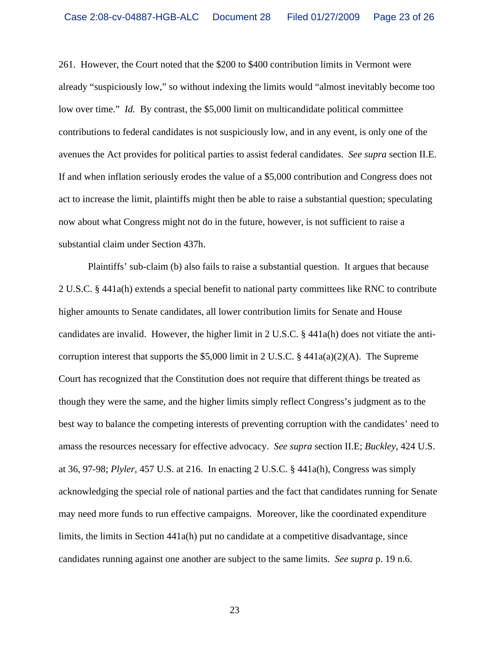261. However, the Court noted that the \$200 to \$400 contribution limits in Vermont were already "suspiciously low," so without indexing the limits would "almost inevitably become too low over time." *Id.* By contrast, the \$5,000 limit on multicandidate political committee contributions to federal candidates is not suspiciously low, and in any event, is only one of the avenues the Act provides for political parties to assist federal candidates. *See supra* section II.E. If and when inflation seriously erodes the value of a \$5,000 contribution and Congress does not act to increase the limit, plaintiffs might then be able to raise a substantial question; speculating now about what Congress might not do in the future, however, is not sufficient to raise a substantial claim under Section 437h.

 Plaintiffs' sub-claim (b) also fails to raise a substantial question. It argues that because 2 U.S.C. § 441a(h) extends a special benefit to national party committees like RNC to contribute higher amounts to Senate candidates, all lower contribution limits for Senate and House candidates are invalid. However, the higher limit in 2 U.S.C. § 441a(h) does not vitiate the anticorruption interest that supports the \$5,000 limit in 2 U.S.C. § 441 $a(a)(2)(A)$ . The Supreme Court has recognized that the Constitution does not require that different things be treated as though they were the same, and the higher limits simply reflect Congress's judgment as to the best way to balance the competing interests of preventing corruption with the candidates' need to amass the resources necessary for effective advocacy. *See supra* section II.E; *Buckley*, 424 U.S. at 36, 97-98; *Plyler*, 457 U.S. at 216. In enacting 2 U.S.C. § 441a(h), Congress was simply acknowledging the special role of national parties and the fact that candidates running for Senate may need more funds to run effective campaigns. Moreover, like the coordinated expenditure limits, the limits in Section 441a(h) put no candidate at a competitive disadvantage, since candidates running against one another are subject to the same limits. *See supra* p. 19 n.6.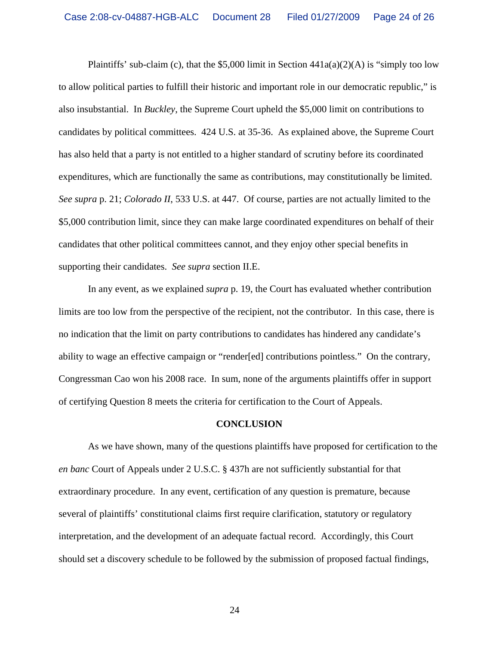Plaintiffs' sub-claim (c), that the \$5,000 limit in Section  $441a(a)(2)(A)$  is "simply too low to allow political parties to fulfill their historic and important role in our democratic republic," is also insubstantial. In *Buckley*, the Supreme Court upheld the \$5,000 limit on contributions to candidates by political committees. 424 U.S. at 35-36. As explained above, the Supreme Court has also held that a party is not entitled to a higher standard of scrutiny before its coordinated expenditures, which are functionally the same as contributions, may constitutionally be limited. *See supra* p. 21; *Colorado II*, 533 U.S. at 447. Of course, parties are not actually limited to the \$5,000 contribution limit, since they can make large coordinated expenditures on behalf of their candidates that other political committees cannot, and they enjoy other special benefits in supporting their candidates. *See supra* section II.E.

 In any event, as we explained *supra* p. 19, the Court has evaluated whether contribution limits are too low from the perspective of the recipient, not the contributor. In this case, there is no indication that the limit on party contributions to candidates has hindered any candidate's ability to wage an effective campaign or "render[ed] contributions pointless." On the contrary, Congressman Cao won his 2008 race. In sum, none of the arguments plaintiffs offer in support of certifying Question 8 meets the criteria for certification to the Court of Appeals.

#### **CONCLUSION**

 As we have shown, many of the questions plaintiffs have proposed for certification to the *en banc* Court of Appeals under 2 U.S.C. § 437h are not sufficiently substantial for that extraordinary procedure. In any event, certification of any question is premature, because several of plaintiffs' constitutional claims first require clarification, statutory or regulatory interpretation, and the development of an adequate factual record. Accordingly, this Court should set a discovery schedule to be followed by the submission of proposed factual findings,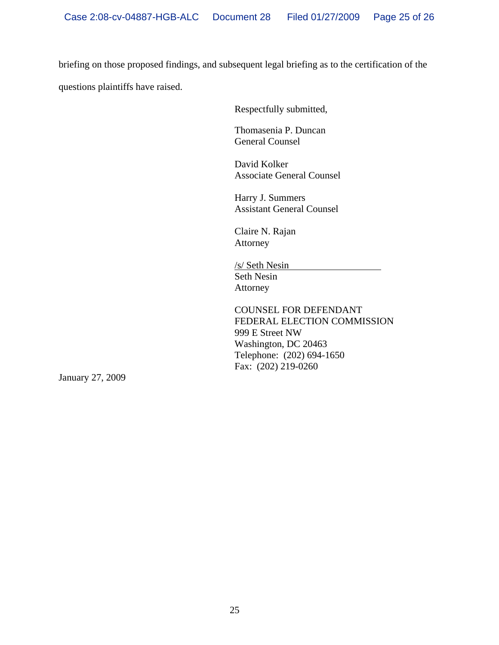briefing on those proposed findings, and subsequent legal briefing as to the certification of the questions plaintiffs have raised.

Respectfully submitted,

Thomasenia P. Duncan General Counsel

David Kolker Associate General Counsel

Harry J. Summers Assistant General Counsel

Claire N. Rajan Attorney

/s/ Seth Nesin Seth Nesin Attorney

COUNSEL FOR DEFENDANT FEDERAL ELECTION COMMISSION 999 E Street NW Washington, DC 20463 Telephone: (202) 694-1650 Fax: (202) 219-0260

January 27, 2009